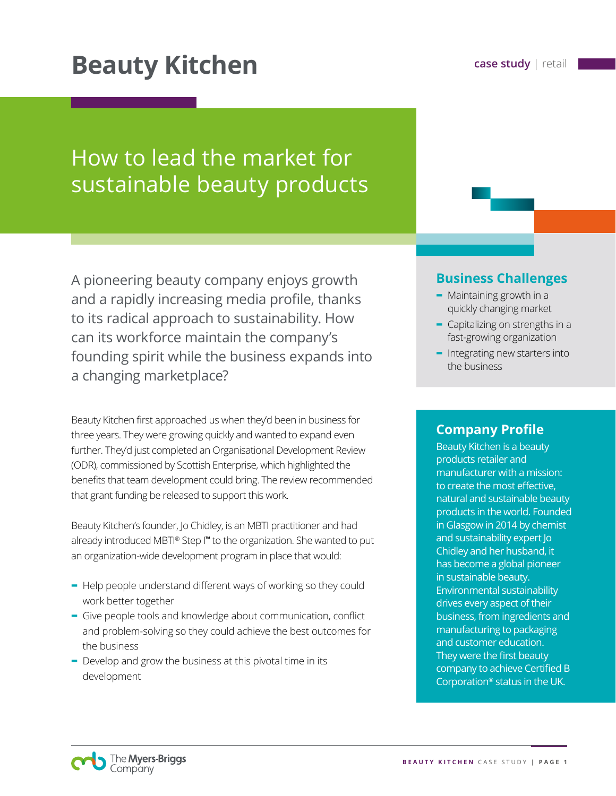# **Beauty Kitchen case study** | retail

# How to lead the market for sustainable beauty products

A pioneering beauty company enjoys growth and a rapidly increasing media profile, thanks to its radical approach to sustainability. How can its workforce maintain the company's founding spirit while the business expands into a changing marketplace?

Beauty Kitchen first approached us when they'd been in business for three years. They were growing quickly and wanted to expand even further. They'd just completed an Organisational Development Review (ODR), commissioned by Scottish Enterprise, which highlighted the benefits that team development could bring. The review recommended that grant funding be released to support this work.

Beauty Kitchen's founder, Jo Chidley, is an MBTI practitioner and had already introduced MBTI® Step I**™** to the organization. She wanted to put an organization-wide development program in place that would:

- **-** Help people understand different ways of working so they could work better together
- **-** Give people tools and knowledge about communication, conflict and problem-solving so they could achieve the best outcomes for the business
- **-** Develop and grow the business at this pivotal time in its development

## **Business Challenges**

- **-** Maintaining growth in a quickly changing market
- **-** Capitalizing on strengths in a fast-growing organization
- **-** Integrating new starters into the business

## **Company Profile**

Beauty Kitchen is a beauty products retailer and manufacturer with a mission: to create the most effective, natural and sustainable beauty products in the world. Founded in Glasgow in 2014 by chemist and sustainability expert Jo Chidley and her husband, it has become a global pioneer in sustainable beauty. Environmental sustainability drives every aspect of their business, from ingredients and manufacturing to packaging and customer education. They were the first beauty company to achieve Certified B Corporation® status in the UK.

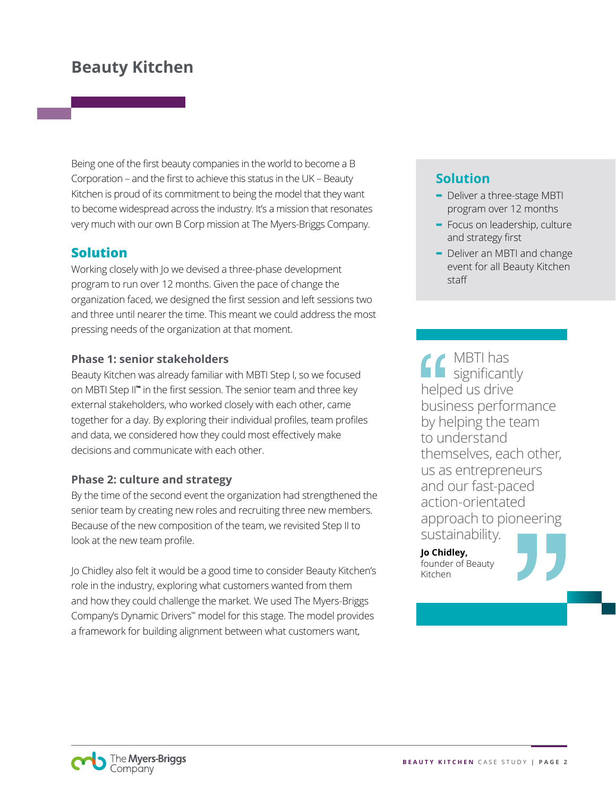# **Beauty Kitchen**

Being one of the first beauty companies in the world to become a B Corporation – and the first to achieve this status in the UK – Beauty Kitchen is proud of its commitment to being the model that they want to become widespread across the industry. It's a mission that resonates very much with our own B Corp mission at The Myers-Briggs Company.

## **Solution**

Working closely with Jo we devised a three-phase development program to run over 12 months. Given the pace of change the organization faced, we designed the first session and left sessions two and three until nearer the time. This meant we could address the most pressing needs of the organization at that moment.

### **Phase 1: senior stakeholders**

Beauty Kitchen was already familiar with MBTI Step I, so we focused on MBTI Step II**™** in the first session. The senior team and three key external stakeholders, who worked closely with each other, came together for a day. By exploring their individual profiles, team profiles and data, we considered how they could most effectively make decisions and communicate with each other.

### **Phase 2: culture and strategy**

By the time of the second event the organization had strengthened the senior team by creating new roles and recruiting three new members. Because of the new composition of the team, we revisited Step II to look at the new team profile.

Jo Chidley also felt it would be a good time to consider Beauty Kitchen's role in the industry, exploring what customers wanted from them and how they could challenge the market. We used The Myers-Briggs Company's Dynamic Drivers™ model for this stage. The model provides a framework for building alignment between what customers want,

## **Solution**

- **-** Deliver a three-stage MBTI program over 12 months
- **-** Focus on leadership, culture and strategy first
- **-** Deliver an MBTI and change event for all Beauty Kitchen staff

MBTI has significantly helped us drive business performance by helping the team to understand themselves, each other, us as entrepreneurs and our fast-paced action-orientated approach to pioneering sustainability.

**Jo Chidley,**  founder of Beauty Kitchen



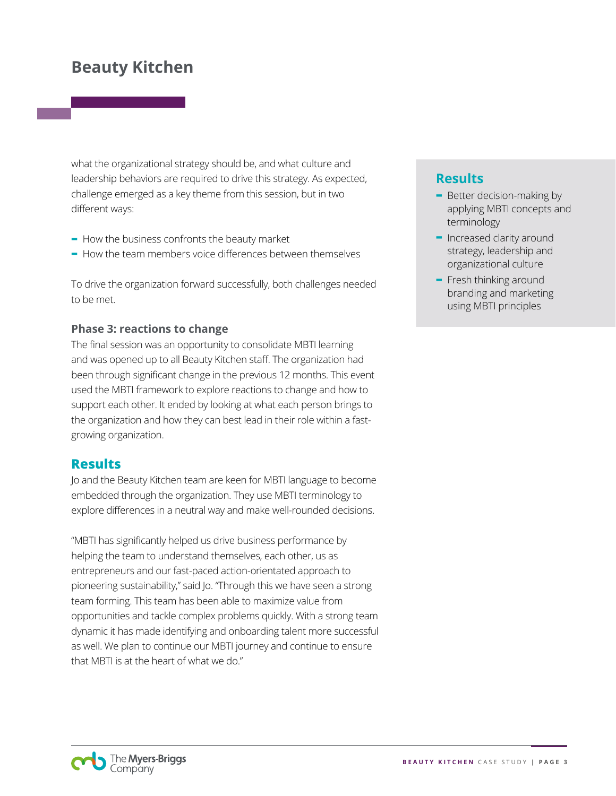# **Beauty Kitchen**

what the organizational strategy should be, and what culture and leadership behaviors are required to drive this strategy. As expected, challenge emerged as a key theme from this session, but in two different ways:

- **-** How the business confronts the beauty market
- **-** How the team members voice differences between themselves

To drive the organization forward successfully, both challenges needed to be met.

#### **Phase 3: reactions to change**

The final session was an opportunity to consolidate MBTI learning and was opened up to all Beauty Kitchen staff. The organization had been through significant change in the previous 12 months. This event used the MBTI framework to explore reactions to change and how to support each other. It ended by looking at what each person brings to the organization and how they can best lead in their role within a fastgrowing organization.

### **Results**

Jo and the Beauty Kitchen team are keen for MBTI language to become embedded through the organization. They use MBTI terminology to explore differences in a neutral way and make well-rounded decisions.

"MBTI has significantly helped us drive business performance by helping the team to understand themselves, each other, us as entrepreneurs and our fast-paced action-orientated approach to pioneering sustainability," said Jo. "Through this we have seen a strong team forming. This team has been able to maximize value from opportunities and tackle complex problems quickly. With a strong team dynamic it has made identifying and onboarding talent more successful as well. We plan to continue our MBTI journey and continue to ensure that MBTI is at the heart of what we do."

## **Results**

- **-** Better decision-making by applying MBTI concepts and terminology
- **-** Increased clarity around strategy, leadership and organizational culture
- **-** Fresh thinking around branding and marketing using MBTI principles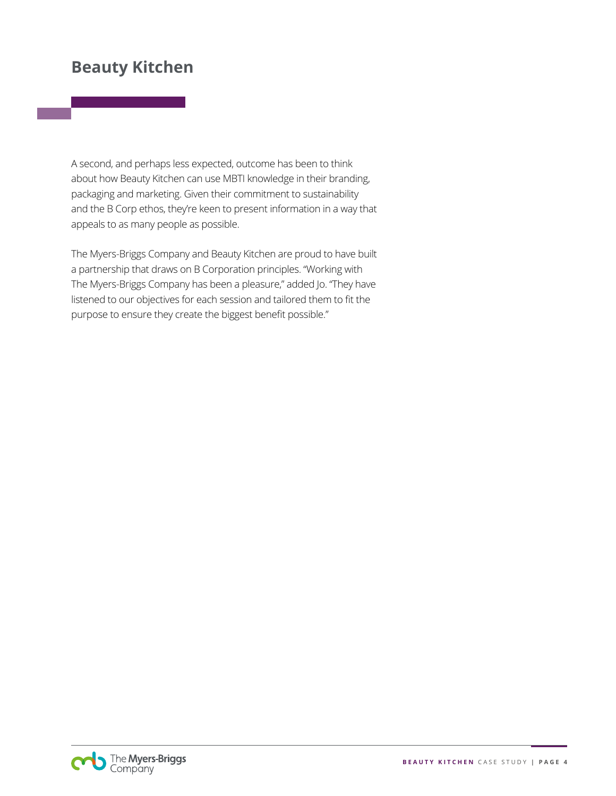## **Beauty Kitchen**

A second, and perhaps less expected, outcome has been to think about how Beauty Kitchen can use MBTI knowledge in their branding, packaging and marketing. Given their commitment to sustainability and the B Corp ethos, they're keen to present information in a way that appeals to as many people as possible.

The Myers-Briggs Company and Beauty Kitchen are proud to have built a partnership that draws on B Corporation principles. "Working with The Myers-Briggs Company has been a pleasure," added Jo. "They have listened to our objectives for each session and tailored them to fit the purpose to ensure they create the biggest benefit possible."